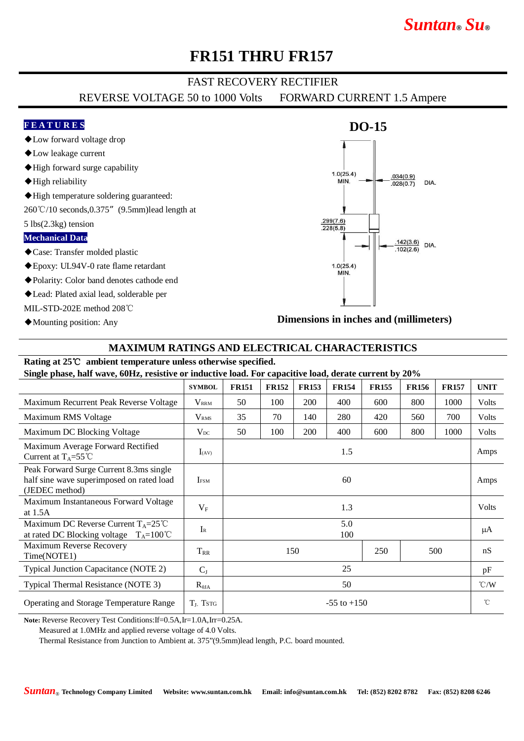# *Suntan***®** *Su***®**

### **FR151 THRU FR157**

### FAST RECOVERY RECTIFIER

REVERSE VOLTAGE 50 to 1000 Volts FORWARD CURRENT 1.5 Ampere

#### **F E A T U R E S**

- ◆Low forward voltage drop
- ◆Low leakage current
- ◆High forward surge capability
- ◆High reliability
- ◆High temperature soldering guaranteed:
- 260℃/10 seconds,0.375"(9.5mm)lead length at

5 lbs(2.3kg) tension

#### **Mechanical Data**

- ◆Case: Transfer molded plastic
- ◆Epoxy: UL94V-0 rate flame retardant
- ◆Polarity: Color band denotes cathode end
- ◆Lead: Plated axial lead, solderable per
- MIL-STD-202E method 208℃
- ◆Mounting position: Any

# $1.0(25.4)$  $.034(0.9)$ MIN.  $.028(0.7)$ **DIA**  $\frac{.299(7.6)}{.228(5.8)}$  $\frac{.142(3.6)}{.422(2.6)}$  DIA.  $.102(2.6)$  $1.0(25.4)$ MIN.

**Dimensions in inches and (millimeters)**

### **MAXIMUM RATINGS AND ELECTRICAL CHARACTERISTICS**

#### **Rating at 25**℃ **ambient temperature unless otherwise specified.**

**Single phase, half wave, 60Hz, resistive or inductive load. For capacitive load, derate current by 20%**

|                                                                                                        | <b>SYMBOL</b>           | <b>FR151</b>      | <b>FR152</b> | <b>FR153</b> | <b>FR154</b> | <b>FR155</b> | <b>FR156</b> | <b>FR157</b> | <b>UNIT</b>   |
|--------------------------------------------------------------------------------------------------------|-------------------------|-------------------|--------------|--------------|--------------|--------------|--------------|--------------|---------------|
| Maximum Recurrent Peak Reverse Voltage                                                                 | $\rm V_{\rm RRM}$       | 50                | 100          | 200          | 400          | 600          | 800          | 1000         | Volts         |
| Maximum RMS Voltage                                                                                    | <b>V</b> <sub>RMS</sub> | 35                | 70           | 140          | 280          | 420          | 560          | 700          | Volts         |
| Maximum DC Blocking Voltage                                                                            | $V_{DC}$                | 50                | 100          | 200          | 400          | 600          | 800          | 1000         | Volts         |
| Maximum Average Forward Rectified<br>Current at $T_A = 55^{\circ}$ C                                   | $I_{(AV)}$              | 1.5               |              |              |              |              |              |              | Amps          |
| Peak Forward Surge Current 8.3ms single<br>half sine wave superimposed on rated load<br>(JEDEC method) | <b>IFSM</b>             | 60                |              |              |              |              |              |              | Amps          |
| Maximum Instantaneous Forward Voltage<br>at $1.5A$                                                     | $V_{F}$                 | 1.3               |              |              |              |              |              |              | Volts         |
| Maximum DC Reverse Current $T_A = 25^{\circ}C$<br>at rated DC Blocking voltage $T_A=100^{\circ}C$      | $I_{R}$                 | 5.0<br>100        |              |              |              |              |              |              | μA            |
| Maximum Reverse Recovery<br>Time(NOTE1)                                                                | $\rm T_{RR}$            | 250<br>500<br>150 |              |              |              |              |              | nS           |               |
| Typical Junction Capacitance (NOTE 2)                                                                  | $C_{J}$                 | 25                |              |              |              |              |              |              | pF            |
| Typical Thermal Resistance (NOTE 3)                                                                    | $R_{\theta JA}$         | 50                |              |              |              |              |              |              | $\degree$ C/W |
| Operating and Storage Temperature Range                                                                | $TL$ . Tstg             | $-55$ to $+150$   |              |              |              |              |              |              | $^{\circ}$ C  |

**Note:** Reverse Recovery Test Conditions:If=0.5A,Ir=1.0A,Irr=0.25A.

Measured at 1.0MHz and applied reverse voltage of 4.0 Volts.

Thermal Resistance from Junction to Ambient at. 375"(9.5mm)lead length, P.C. board mounted.